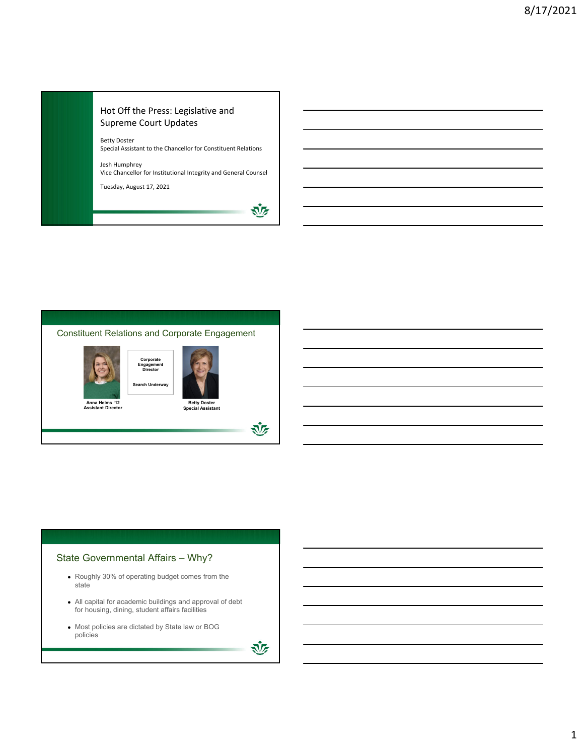#### Hot Off the Press: Legislative and Supreme Court Updates

Betty Doster Special Assistant to the Chancellor for Constituent Relations

Jesh Humphrey Vice Chancellor for Institutional Integrity and General Counsel

Tuesday, August 17, 2021



迹



# State Governmental Affairs – Why?

- Roughly 30% of operating budget comes from the state
- All capital for academic buildings and approval of debt for housing, dining, student affairs facilities
- Most policies are dictated by State law or BOG policies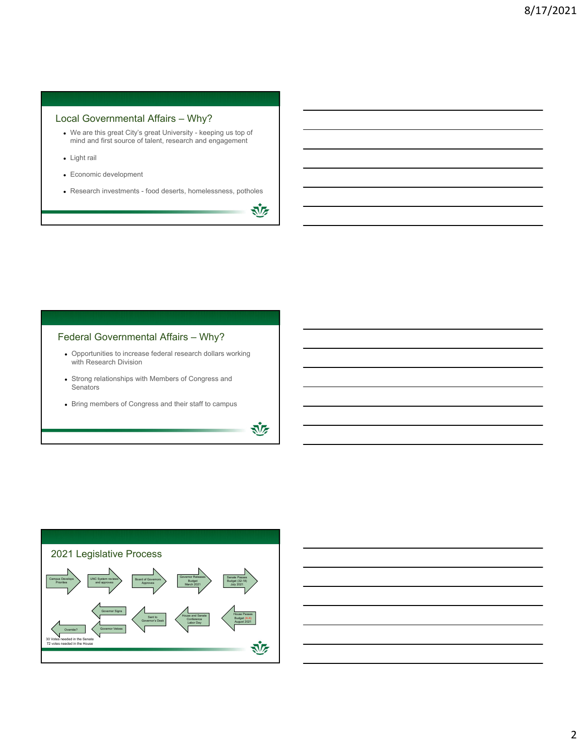#### Local Governmental Affairs – Why?

- We are this great City's great University keeping us top of mind and first source of talent, research and engagement
- Light rail
- Economic development
- Research investments food deserts, homelessness, potholes

还

诬

## Federal Governmental Affairs – Why?

- Opportunities to increase federal research dollars working with Research Division
- Strong relationships with Members of Congress and **Senators**
- Bring members of Congress and their staff to campus



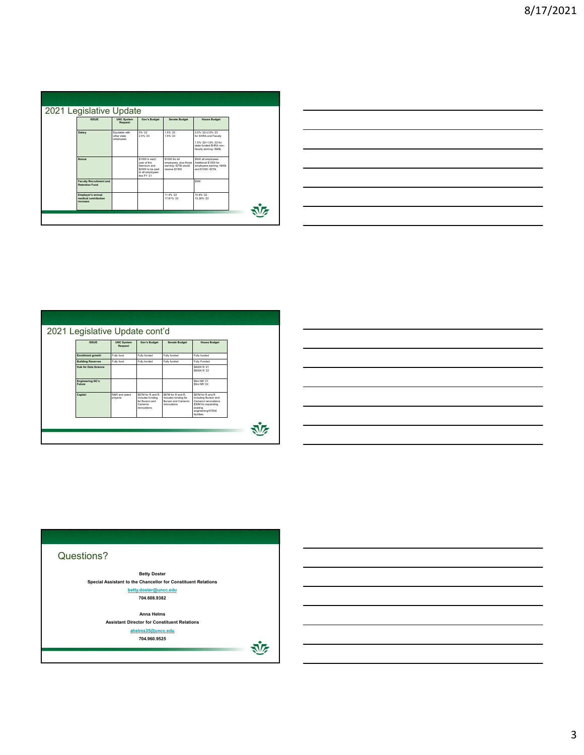| 2021 Legislative Update<br><b>ISSUE</b>                 | <b>UNC System</b><br>Request               | Gov's Budget                                                                                         | <b>Senate Budget</b>                                                              | <b>House Budget</b>                                                                                                    |    |
|---------------------------------------------------------|--------------------------------------------|------------------------------------------------------------------------------------------------------|-----------------------------------------------------------------------------------|------------------------------------------------------------------------------------------------------------------------|----|
| Salary                                                  | Equitable with<br>other state<br>employees | 5% '22<br>2.5% 23                                                                                    | 1.5% '22<br>1.5% '23                                                              | 2.5% '22+2.5% '23<br>for SHRA and Faculty<br>1.5% '22+1.5% '23.for<br>state funded EHRA non-<br>faculty earning <\$95k |    |
| Bonus                                                   |                                            | \$1000 in each<br>year of the<br>biennium and<br>\$2000 to be paid<br>to all employees<br>this FY 21 | \$1000 for all<br>employees, plus those<br>earning <\$75k would<br>receive \$1500 | \$500 all employees<br>Additional \$1500 for<br>employees earning <\$40k<br>and \$1000 <\$75k                          |    |
| <b>Faculty Recruitment and</b><br><b>Retention Fund</b> |                                            |                                                                                                      |                                                                                   | SSM                                                                                                                    |    |
| Employer's annual<br>medical contribution<br>increase   |                                            |                                                                                                      | 11 4% '22<br>17 81% '23                                                           | 10 8% '22<br>15.36% '23                                                                                                | ぶん |

|  | __ |
|--|----|
|  |    |
|  |    |
|  |    |
|  |    |
|  |    |
|  |    |
|  |    |

| <b>ISSUE</b>                      | <b>UNC System</b><br>Request | Gov's Budget                                                                       | <b>Senate Budget</b>                                                                   | <b>House Budget</b>                                                                                                                   |
|-----------------------------------|------------------------------|------------------------------------------------------------------------------------|----------------------------------------------------------------------------------------|---------------------------------------------------------------------------------------------------------------------------------------|
| <b>Enrollment growth</b>          | Fully fund                   | Fully funded                                                                       | Fully funded                                                                           | Fully funded                                                                                                                          |
| <b>Building Reserves</b>          | Fully fund                   | Fully funded                                                                       | Fully funded                                                                           | Fully Funded                                                                                                                          |
| <b>Hub for Data Science</b>       |                              |                                                                                    |                                                                                        | SSOOK R '21<br>SSOOK R '22                                                                                                            |
| <b>Engineering NC's</b><br>Future |                              |                                                                                    |                                                                                        | \$5m NR '21<br>\$5m NR '22                                                                                                            |
| Capital                           | R&R and select<br>projects   | \$87M for R and R.<br>includes funding<br>for Burson and<br>Cameron<br>renovations | \$87M for R and R.<br>includes funding for<br><b>Burson and Cameron</b><br>renovations | \$87M for R and R<br>including Burson and<br>Cameron renovations<br>\$30M for expanding<br>existing<br>engineering/STEM<br>facilities |



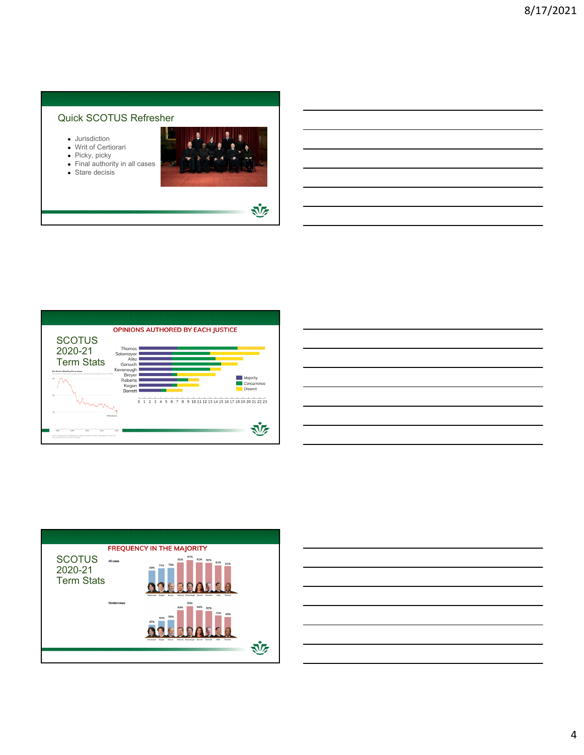### Quick SCOTUS Refresher

- Jurisdiction
- Writ of Certiorari
- Picky, picky
- Final authority in all cases
- Stare decisis



迹







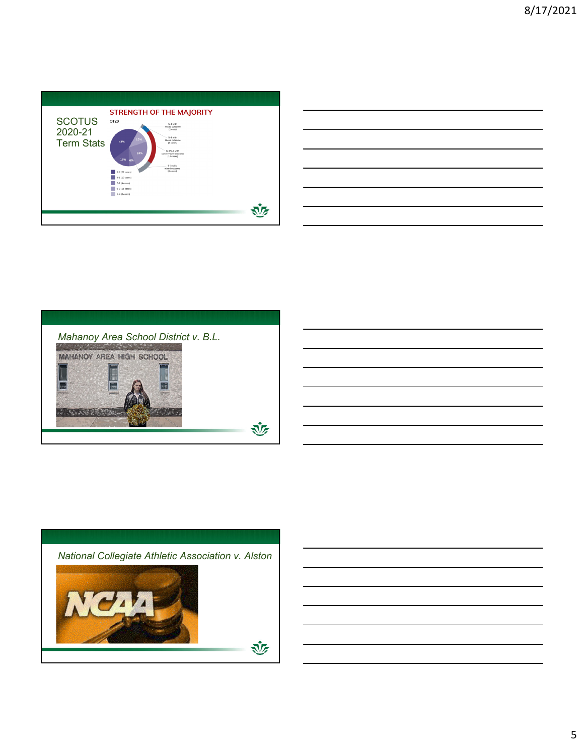| <b>SCOTUS</b><br>2020-21<br><b>Term Stats</b> | <b>STRENGTH OF THE MAJORITY</b><br>OT20<br>5-4 with<br>mixed outcome<br>(1 cose)<br>5-4 with<br>12%<br><b>Iberal</b> outcome<br>43%<br>13 coses)<br>6-3/5-4 with<br>24%<br>conservative outcome<br>$(14 \csc s)$<br>15%<br>6%<br>6-3 with<br>mixed outcome<br>(6 cases)<br>9-0 (29 cases)<br>8-1 (10 coses)<br>7-2 (4 cases)<br>6-3 (16 cases)<br>5-4 (8 coses) |  |
|-----------------------------------------------|-----------------------------------------------------------------------------------------------------------------------------------------------------------------------------------------------------------------------------------------------------------------------------------------------------------------------------------------------------------------|--|
|                                               |                                                                                                                                                                                                                                                                                                                                                                 |  |

| and the control of the control of the control of the control of the control of the control of the control of the |  |  |
|------------------------------------------------------------------------------------------------------------------|--|--|
|                                                                                                                  |  |  |
|                                                                                                                  |  |  |
|                                                                                                                  |  |  |
|                                                                                                                  |  |  |
|                                                                                                                  |  |  |